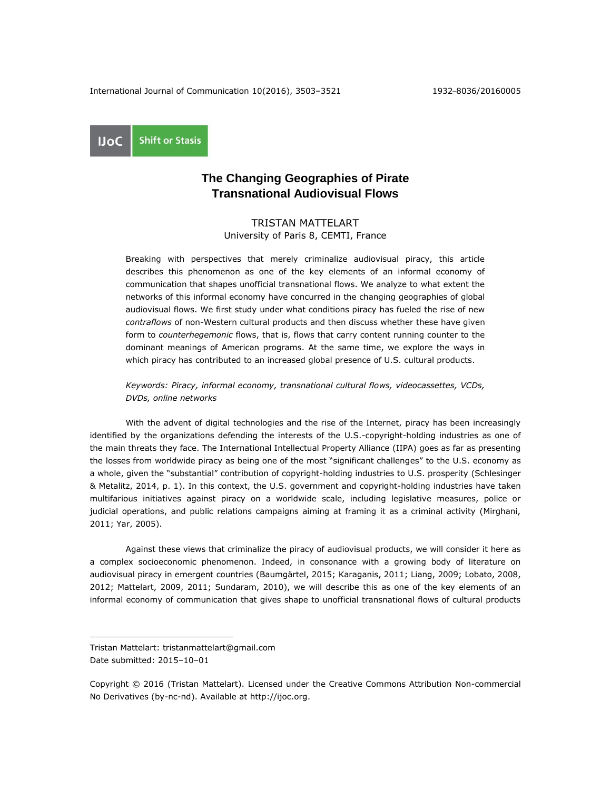**Shift or Stasis UoC** 

# **The Changing Geographies of Pirate Transnational Audiovisual Flows**

TRISTAN MATTELART University of Paris 8, CEMTI, France

Breaking with perspectives that merely criminalize audiovisual piracy, this article describes this phenomenon as one of the key elements of an informal economy of communication that shapes unofficial transnational flows. We analyze to what extent the networks of this informal economy have concurred in the changing geographies of global audiovisual flows. We first study under what conditions piracy has fueled the rise of new *contraflows* of non-Western cultural products and then discuss whether these have given form to *counterhegemonic* flows, that is, flows that carry content running counter to the dominant meanings of American programs. At the same time, we explore the ways in which piracy has contributed to an increased global presence of U.S. cultural products.

*Keywords: Piracy, informal economy, transnational cultural flows, videocassettes, VCDs, DVDs, online networks*

With the advent of digital technologies and the rise of the Internet, piracy has been increasingly identified by the organizations defending the interests of the U.S.-copyright-holding industries as one of the main threats they face. The International Intellectual Property Alliance (IIPA) goes as far as presenting the losses from worldwide piracy as being one of the most "significant challenges" to the U.S. economy as a whole, given the "substantial" contribution of copyright-holding industries to U.S. prosperity (Schlesinger & Metalitz, 2014, p. 1). In this context, the U.S. government and copyright-holding industries have taken multifarious initiatives against piracy on a worldwide scale, including legislative measures, police or judicial operations, and public relations campaigns aiming at framing it as a criminal activity (Mirghani, 2011; Yar, 2005).

Against these views that criminalize the piracy of audiovisual products, we will consider it here as a complex socioeconomic phenomenon. Indeed, in consonance with a growing body of literature on audiovisual piracy in emergent countries (Baumgärtel, 2015; Karaganis, 2011; Liang, 2009; Lobato, 2008, 2012; Mattelart, 2009, 2011; Sundaram, 2010), we will describe this as one of the key elements of an informal economy of communication that gives shape to unofficial transnational flows of cultural products

 $\overline{a}$ 

Tristan Mattelart: tristanmattelart@gmail.com Date submitted: 2015–10–01

Copyright © 2016 (Tristan Mattelart). Licensed under the Creative Commons Attribution Non-commercial No Derivatives (by-nc-nd). Available at [http://ijoc.org.](http://ijoc.org/)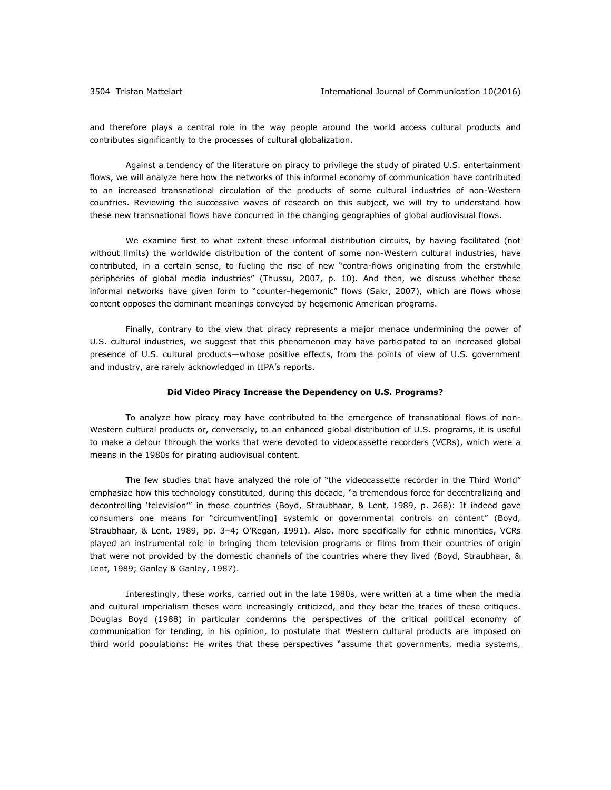and therefore plays a central role in the way people around the world access cultural products and contributes significantly to the processes of cultural globalization.

Against a tendency of the literature on piracy to privilege the study of pirated U.S. entertainment flows, we will analyze here how the networks of this informal economy of communication have contributed to an increased transnational circulation of the products of some cultural industries of non-Western countries. Reviewing the successive waves of research on this subject, we will try to understand how these new transnational flows have concurred in the changing geographies of global audiovisual flows.

We examine first to what extent these informal distribution circuits, by having facilitated (not without limits) the worldwide distribution of the content of some non-Western cultural industries, have contributed, in a certain sense, to fueling the rise of new "contra-flows originating from the erstwhile peripheries of global media industries" (Thussu, 2007, p. 10). And then, we discuss whether these informal networks have given form to "counter-hegemonic" flows (Sakr, 2007), which are flows whose content opposes the dominant meanings conveyed by hegemonic American programs.

Finally, contrary to the view that piracy represents a major menace undermining the power of U.S. cultural industries, we suggest that this phenomenon may have participated to an increased global presence of U.S. cultural products—whose positive effects, from the points of view of U.S. government and industry, are rarely acknowledged in IIPA's reports.

#### **Did Video Piracy Increase the Dependency on U.S. Programs?**

To analyze how piracy may have contributed to the emergence of transnational flows of non-Western cultural products or, conversely, to an enhanced global distribution of U.S. programs, it is useful to make a detour through the works that were devoted to videocassette recorders (VCRs), which were a means in the 1980s for pirating audiovisual content.

The few studies that have analyzed the role of "the videocassette recorder in the Third World" emphasize how this technology constituted, during this decade, "a tremendous force for decentralizing and decontrolling 'television'" in those countries (Boyd, Straubhaar, & Lent, 1989, p. 268): It indeed gave consumers one means for "circumvent[ing] systemic or governmental controls on content" (Boyd, Straubhaar, & Lent, 1989, pp. 3–4; O'Regan, 1991). Also, more specifically for ethnic minorities, VCRs played an instrumental role in bringing them television programs or films from their countries of origin that were not provided by the domestic channels of the countries where they lived (Boyd, Straubhaar, & Lent, 1989; Ganley & Ganley, 1987).

Interestingly, these works, carried out in the late 1980s, were written at a time when the media and cultural imperialism theses were increasingly criticized, and they bear the traces of these critiques. Douglas Boyd (1988) in particular condemns the perspectives of the critical political economy of communication for tending, in his opinion, to postulate that Western cultural products are imposed on third world populations: He writes that these perspectives "assume that governments, media systems,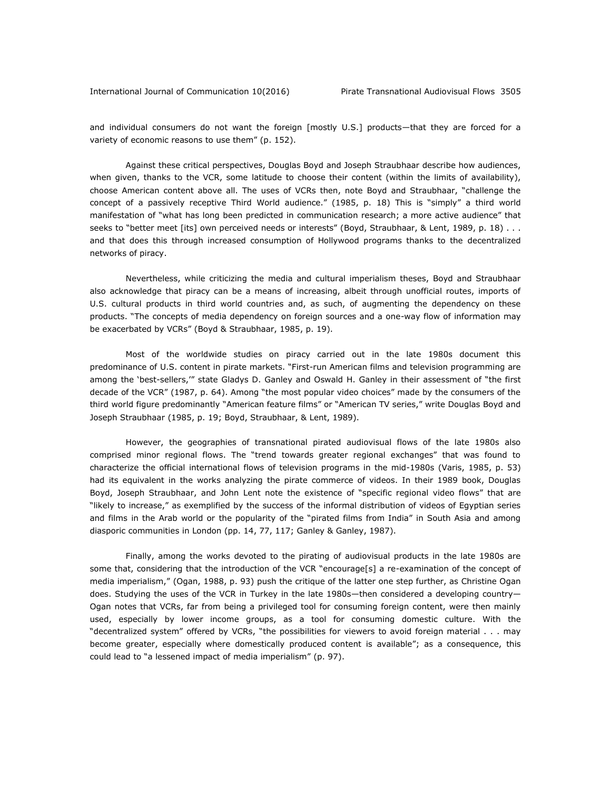and individual consumers do not want the foreign [mostly U.S.] products—that they are forced for a variety of economic reasons to use them" (p. 152).

Against these critical perspectives, Douglas Boyd and Joseph Straubhaar describe how audiences, when given, thanks to the VCR, some latitude to choose their content (within the limits of availability), choose American content above all. The uses of VCRs then, note Boyd and Straubhaar, "challenge the concept of a passively receptive Third World audience." (1985, p. 18) This is "simply" a third world manifestation of "what has long been predicted in communication research; a more active audience" that seeks to "better meet [its] own perceived needs or interests" (Boyd, Straubhaar, & Lent, 1989, p. 18) . . . and that does this through increased consumption of Hollywood programs thanks to the decentralized networks of piracy.

Nevertheless, while criticizing the media and cultural imperialism theses, Boyd and Straubhaar also acknowledge that piracy can be a means of increasing, albeit through unofficial routes, imports of U.S. cultural products in third world countries and, as such, of augmenting the dependency on these products. "The concepts of media dependency on foreign sources and a one-way flow of information may be exacerbated by VCRs" (Boyd & Straubhaar, 1985, p. 19).

Most of the worldwide studies on piracy carried out in the late 1980s document this predominance of U.S. content in pirate markets. "First-run American films and television programming are among the 'best-sellers,'" state Gladys D. Ganley and Oswald H. Ganley in their assessment of "the first decade of the VCR" (1987, p. 64). Among "the most popular video choices" made by the consumers of the third world figure predominantly "American feature films" or "American TV series," write Douglas Boyd and Joseph Straubhaar (1985, p. 19; Boyd, Straubhaar, & Lent, 1989).

However, the geographies of transnational pirated audiovisual flows of the late 1980s also comprised minor regional flows. The "trend towards greater regional exchanges" that was found to characterize the official international flows of television programs in the mid-1980s (Varis, 1985, p. 53) had its equivalent in the works analyzing the pirate commerce of videos. In their 1989 book, Douglas Boyd, Joseph Straubhaar, and John Lent note the existence of "specific regional video flows" that are "likely to increase," as exemplified by the success of the informal distribution of videos of Egyptian series and films in the Arab world or the popularity of the "pirated films from India" in South Asia and among diasporic communities in London (pp. 14, 77, 117; Ganley & Ganley, 1987).

Finally, among the works devoted to the pirating of audiovisual products in the late 1980s are some that, considering that the introduction of the VCR "encourage[s] a re-examination of the concept of media imperialism," (Ogan, 1988, p. 93) push the critique of the latter one step further, as Christine Ogan does. Studying the uses of the VCR in Turkey in the late 1980s—then considered a developing country— Ogan notes that VCRs, far from being a privileged tool for consuming foreign content, were then mainly used, especially by lower income groups, as a tool for consuming domestic culture. With the "decentralized system" offered by VCRs, "the possibilities for viewers to avoid foreign material . . . may become greater, especially where domestically produced content is available"; as a consequence, this could lead to "a lessened impact of media imperialism" (p. 97).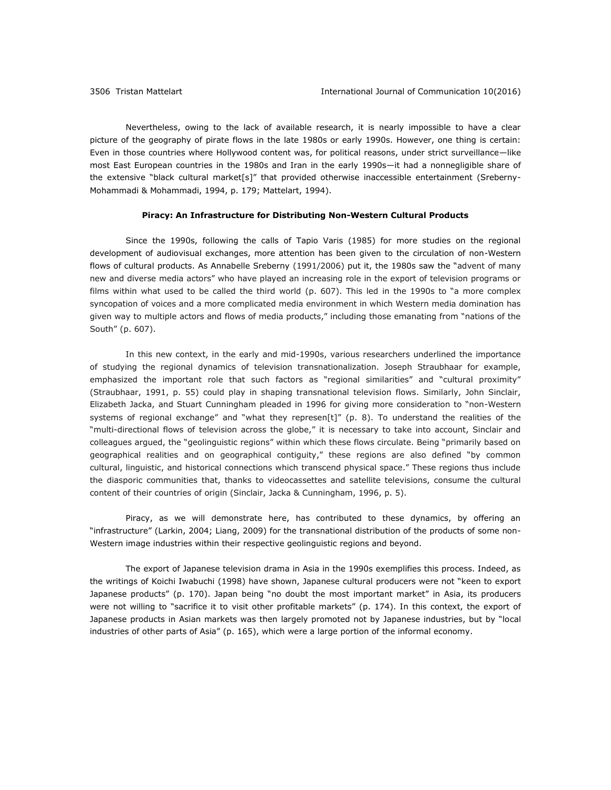Nevertheless, owing to the lack of available research, it is nearly impossible to have a clear picture of the geography of pirate flows in the late 1980s or early 1990s. However, one thing is certain: Even in those countries where Hollywood content was, for political reasons, under strict surveillance—like most East European countries in the 1980s and Iran in the early 1990s—it had a nonnegligible share of the extensive "black cultural market[s]" that provided otherwise inaccessible entertainment (Sreberny-Mohammadi & Mohammadi, 1994, p. 179; Mattelart, 1994).

### **Piracy: An Infrastructure for Distributing Non-Western Cultural Products**

Since the 1990s, following the calls of Tapio Varis (1985) for more studies on the regional development of audiovisual exchanges, more attention has been given to the circulation of non-Western flows of cultural products. As Annabelle Sreberny (1991/2006) put it, the 1980s saw the "advent of many new and diverse media actors" who have played an increasing role in the export of television programs or films within what used to be called the third world (p. 607). This led in the 1990s to "a more complex syncopation of voices and a more complicated media environment in which Western media domination has given way to multiple actors and flows of media products," including those emanating from "nations of the South" (p. 607).

In this new context, in the early and mid-1990s, various researchers underlined the importance of studying the regional dynamics of television transnationalization. Joseph Straubhaar for example, emphasized the important role that such factors as "regional similarities" and "cultural proximity" (Straubhaar, 1991, p. 55) could play in shaping transnational television flows. Similarly, John Sinclair, Elizabeth Jacka, and Stuart Cunningham pleaded in 1996 for giving more consideration to "non-Western systems of regional exchange" and "what they represen[t]" (p. 8). To understand the realities of the "multi-directional flows of television across the globe," it is necessary to take into account, Sinclair and colleagues argued, the "geolinguistic regions" within which these flows circulate. Being "primarily based on geographical realities and on geographical contiguity," these regions are also defined "by common cultural, linguistic, and historical connections which transcend physical space." These regions thus include the diasporic communities that, thanks to videocassettes and satellite televisions, consume the cultural content of their countries of origin (Sinclair, Jacka & Cunningham, 1996, p. 5).

Piracy, as we will demonstrate here, has contributed to these dynamics, by offering an "infrastructure" (Larkin, 2004; Liang, 2009) for the transnational distribution of the products of some non-Western image industries within their respective geolinguistic regions and beyond.

The export of Japanese television drama in Asia in the 1990s exemplifies this process. Indeed, as the writings of Koichi Iwabuchi (1998) have shown, Japanese cultural producers were not "keen to export Japanese products" (p. 170). Japan being "no doubt the most important market" in Asia, its producers were not willing to "sacrifice it to visit other profitable markets" (p. 174). In this context, the export of Japanese products in Asian markets was then largely promoted not by Japanese industries, but by "local industries of other parts of Asia" (p. 165), which were a large portion of the informal economy.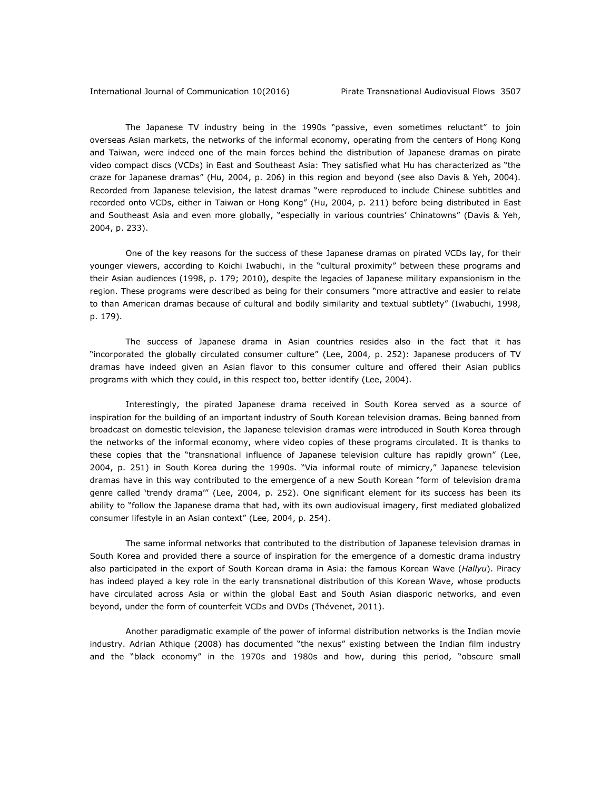The Japanese TV industry being in the 1990s "passive, even sometimes reluctant" to join overseas Asian markets, the networks of the informal economy, operating from the centers of Hong Kong and Taiwan, were indeed one of the main forces behind the distribution of Japanese dramas on pirate video compact discs (VCDs) in East and Southeast Asia: They satisfied what Hu has characterized as "the craze for Japanese dramas" (Hu, 2004, p. 206) in this region and beyond (see also Davis & Yeh, 2004). Recorded from Japanese television, the latest dramas "were reproduced to include Chinese subtitles and recorded onto VCDs, either in Taiwan or Hong Kong" (Hu, 2004, p. 211) before being distributed in East and Southeast Asia and even more globally, "especially in various countries' Chinatowns" (Davis & Yeh, 2004, p. 233).

One of the key reasons for the success of these Japanese dramas on pirated VCDs lay, for their younger viewers, according to Koichi Iwabuchi, in the "cultural proximity" between these programs and their Asian audiences (1998, p. 179; 2010), despite the legacies of Japanese military expansionism in the region. These programs were described as being for their consumers "more attractive and easier to relate to than American dramas because of cultural and bodily similarity and textual subtlety" (Iwabuchi, 1998, p. 179).

The success of Japanese drama in Asian countries resides also in the fact that it has "incorporated the globally circulated consumer culture" (Lee, 2004, p. 252): Japanese producers of TV dramas have indeed given an Asian flavor to this consumer culture and offered their Asian publics programs with which they could, in this respect too, better identify (Lee, 2004).

Interestingly, the pirated Japanese drama received in South Korea served as a source of inspiration for the building of an important industry of South Korean television dramas. Being banned from broadcast on domestic television, the Japanese television dramas were introduced in South Korea through the networks of the informal economy, where video copies of these programs circulated. It is thanks to these copies that the "transnational influence of Japanese television culture has rapidly grown" (Lee, 2004, p. 251) in South Korea during the 1990s. "Via informal route of mimicry," Japanese television dramas have in this way contributed to the emergence of a new South Korean "form of television drama genre called 'trendy drama'" (Lee, 2004, p. 252). One significant element for its success has been its ability to "follow the Japanese drama that had, with its own audiovisual imagery, first mediated globalized consumer lifestyle in an Asian context" (Lee, 2004, p. 254).

The same informal networks that contributed to the distribution of Japanese television dramas in South Korea and provided there a source of inspiration for the emergence of a domestic drama industry also participated in the export of South Korean drama in Asia: the famous Korean Wave (*Hallyu*). Piracy has indeed played a key role in the early transnational distribution of this Korean Wave, whose products have circulated across Asia or within the global East and South Asian diasporic networks, and even beyond, under the form of counterfeit VCDs and DVDs (Thévenet, 2011).

Another paradigmatic example of the power of informal distribution networks is the Indian movie industry. Adrian Athique (2008) has documented "the nexus" existing between the Indian film industry and the "black economy" in the 1970s and 1980s and how, during this period, "obscure small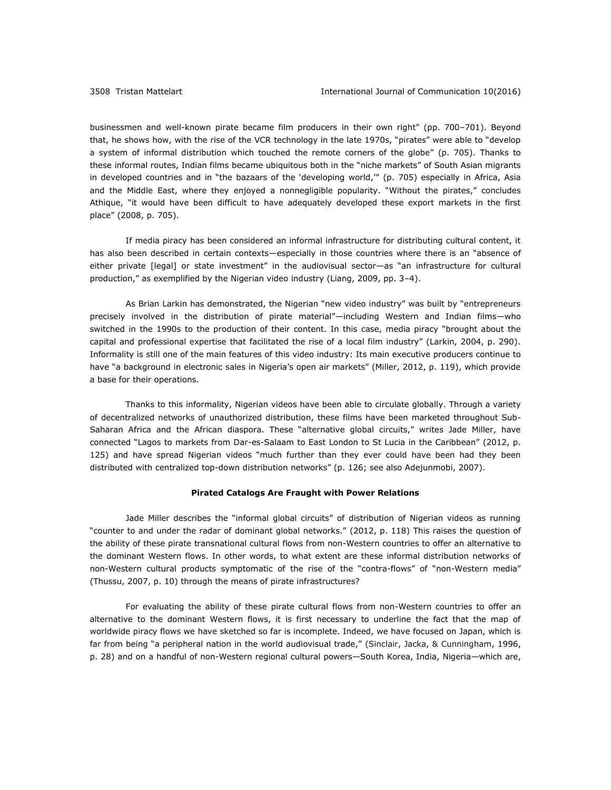businessmen and well-known pirate became film producers in their own right" (pp. 700–701). Beyond that, he shows how, with the rise of the VCR technology in the late 1970s, "pirates" were able to "develop a system of informal distribution which touched the remote corners of the globe" (p. 705). Thanks to these informal routes, Indian films became ubiquitous both in the "niche markets" of South Asian migrants in developed countries and in "the bazaars of the 'developing world,'" (p. 705) especially in Africa, Asia and the Middle East, where they enjoyed a nonnegligible popularity. "Without the pirates," concludes Athique, "it would have been difficult to have adequately developed these export markets in the first place" (2008, p. 705).

If media piracy has been considered an informal infrastructure for distributing cultural content, it has also been described in certain contexts—especially in those countries where there is an "absence of either private [legal] or state investment" in the audiovisual sector—as "an infrastructure for cultural production," as exemplified by the Nigerian video industry (Liang, 2009, pp. 3–4).

As Brian Larkin has demonstrated, the Nigerian "new video industry" was built by "entrepreneurs precisely involved in the distribution of pirate material"—including Western and Indian films—who switched in the 1990s to the production of their content. In this case, media piracy "brought about the capital and professional expertise that facilitated the rise of a local film industry" (Larkin, 2004, p. 290). Informality is still one of the main features of this video industry: Its main executive producers continue to have "a background in electronic sales in Nigeria's open air markets" (Miller, 2012, p. 119), which provide a base for their operations.

Thanks to this informality, Nigerian videos have been able to circulate globally. Through a variety of decentralized networks of unauthorized distribution, these films have been marketed throughout Sub-Saharan Africa and the African diaspora. These "alternative global circuits," writes Jade Miller, have connected "Lagos to markets from Dar-es-Salaam to East London to St Lucia in the Caribbean" (2012, p. 125) and have spread Nigerian videos "much further than they ever could have been had they been distributed with centralized top-down distribution networks" (p. 126; see also Adejunmobi, 2007).

# **Pirated Catalogs Are Fraught with Power Relations**

Jade Miller describes the "informal global circuits" of distribution of Nigerian videos as running "counter to and under the radar of dominant global networks." (2012, p. 118) This raises the question of the ability of these pirate transnational cultural flows from non-Western countries to offer an alternative to the dominant Western flows. In other words, to what extent are these informal distribution networks of non-Western cultural products symptomatic of the rise of the "contra-flows" of "non-Western media" (Thussu, 2007, p. 10) through the means of pirate infrastructures?

For evaluating the ability of these pirate cultural flows from non-Western countries to offer an alternative to the dominant Western flows, it is first necessary to underline the fact that the map of worldwide piracy flows we have sketched so far is incomplete. Indeed, we have focused on Japan, which is far from being "a peripheral nation in the world audiovisual trade," (Sinclair, Jacka, & Cunningham, 1996, p. 28) and on a handful of non-Western regional cultural powers—South Korea, India, Nigeria—which are,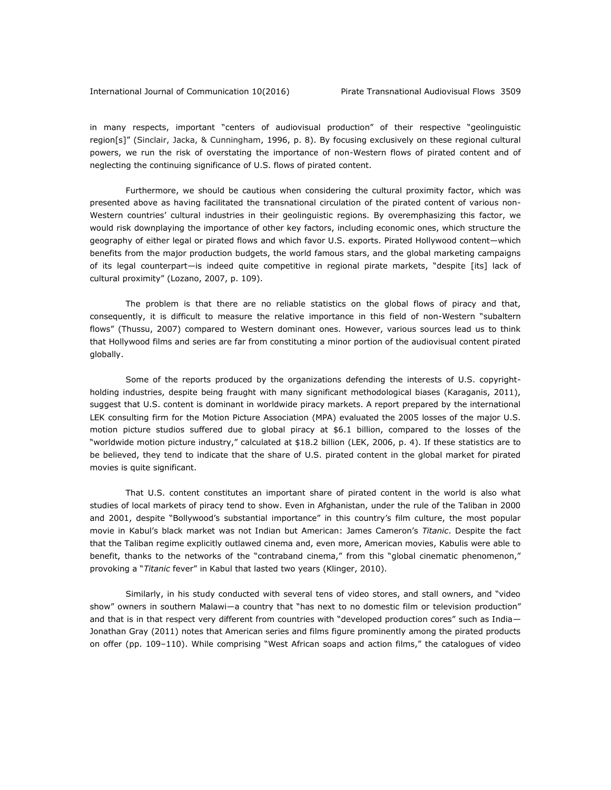in many respects, important "centers of audiovisual production" of their respective "geolinguistic region[s]" (Sinclair, Jacka, & Cunningham, 1996, p. 8). By focusing exclusively on these regional cultural powers, we run the risk of overstating the importance of non-Western flows of pirated content and of neglecting the continuing significance of U.S. flows of pirated content.

Furthermore, we should be cautious when considering the cultural proximity factor, which was presented above as having facilitated the transnational circulation of the pirated content of various non-Western countries' cultural industries in their geolinguistic regions. By overemphasizing this factor, we would risk downplaying the importance of other key factors, including economic ones, which structure the geography of either legal or pirated flows and which favor U.S. exports. Pirated Hollywood content—which benefits from the major production budgets, the world famous stars, and the global marketing campaigns of its legal counterpart—is indeed quite competitive in regional pirate markets, "despite [its] lack of cultural proximity" (Lozano, 2007, p. 109).

The problem is that there are no reliable statistics on the global flows of piracy and that, consequently, it is difficult to measure the relative importance in this field of non-Western "subaltern flows" (Thussu, 2007) compared to Western dominant ones. However, various sources lead us to think that Hollywood films and series are far from constituting a minor portion of the audiovisual content pirated globally.

Some of the reports produced by the organizations defending the interests of U.S. copyrightholding industries, despite being fraught with many significant methodological biases (Karaganis, 2011), suggest that U.S. content is dominant in worldwide piracy markets. A report prepared by the international LEK consulting firm for the Motion Picture Association (MPA) evaluated the 2005 losses of the major U.S. motion picture studios suffered due to global piracy at \$6.1 billion, compared to the losses of the "worldwide motion picture industry," calculated at \$18.2 billion (LEK, 2006, p. 4). If these statistics are to be believed, they tend to indicate that the share of U.S. pirated content in the global market for pirated movies is quite significant.

That U.S. content constitutes an important share of pirated content in the world is also what studies of local markets of piracy tend to show. Even in Afghanistan, under the rule of the Taliban in 2000 and 2001, despite "Bollywood's substantial importance" in this country's film culture, the most popular movie in Kabul's black market was not Indian but American: James Cameron's *Titanic*. Despite the fact that the Taliban regime explicitly outlawed cinema and, even more, American movies, Kabulis were able to benefit, thanks to the networks of the "contraband cinema," from this "global cinematic phenomenon," provoking a "*Titanic* fever" in Kabul that lasted two years (Klinger, 2010).

Similarly, in his study conducted with several tens of video stores, and stall owners, and "video show" owners in southern Malawi—a country that "has next to no domestic film or television production" and that is in that respect very different from countries with "developed production cores" such as India— Jonathan Gray (2011) notes that American series and films figure prominently among the pirated products on offer (pp. 109–110). While comprising "West African soaps and action films," the catalogues of video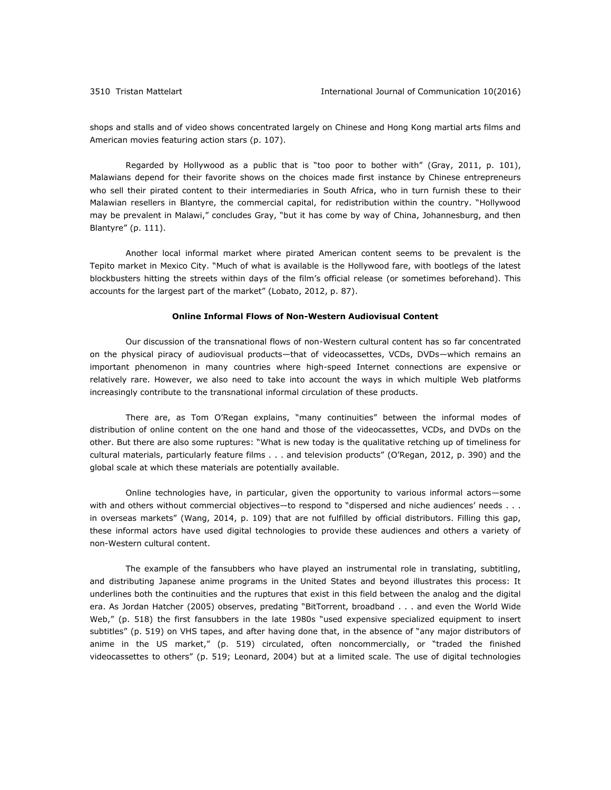shops and stalls and of video shows concentrated largely on Chinese and Hong Kong martial arts films and American movies featuring action stars (p. 107).

Regarded by Hollywood as a public that is "too poor to bother with" (Gray, 2011, p. 101), Malawians depend for their favorite shows on the choices made first instance by Chinese entrepreneurs who sell their pirated content to their intermediaries in South Africa, who in turn furnish these to their Malawian resellers in Blantyre, the commercial capital, for redistribution within the country. "Hollywood may be prevalent in Malawi," concludes Gray, "but it has come by way of China, Johannesburg, and then Blantyre" (p. 111).

Another local informal market where pirated American content seems to be prevalent is the Tepito market in Mexico City. "Much of what is available is the Hollywood fare, with bootlegs of the latest blockbusters hitting the streets within days of the film's official release (or sometimes beforehand). This accounts for the largest part of the market" (Lobato, 2012, p. 87).

### **Online Informal Flows of Non-Western Audiovisual Content**

Our discussion of the transnational flows of non-Western cultural content has so far concentrated on the physical piracy of audiovisual products—that of videocassettes, VCDs, DVDs—which remains an important phenomenon in many countries where high-speed Internet connections are expensive or relatively rare. However, we also need to take into account the ways in which multiple Web platforms increasingly contribute to the transnational informal circulation of these products.

There are, as Tom O'Regan explains, "many continuities" between the informal modes of distribution of online content on the one hand and those of the videocassettes, VCDs, and DVDs on the other. But there are also some ruptures: "What is new today is the qualitative retching up of timeliness for cultural materials, particularly feature films . . . and television products" (O'Regan, 2012, p. 390) and the global scale at which these materials are potentially available.

Online technologies have, in particular, given the opportunity to various informal actors—some with and others without commercial objectives—to respond to "dispersed and niche audiences' needs . . . in overseas markets" (Wang, 2014, p. 109) that are not fulfilled by official distributors. Filling this gap, these informal actors have used digital technologies to provide these audiences and others a variety of non-Western cultural content.

The example of the fansubbers who have played an instrumental role in translating, subtitling, and distributing Japanese anime programs in the United States and beyond illustrates this process: It underlines both the continuities and the ruptures that exist in this field between the analog and the digital era. As Jordan Hatcher (2005) observes, predating "BitTorrent, broadband . . . and even the World Wide Web," (p. 518) the first fansubbers in the late 1980s "used expensive specialized equipment to insert subtitles" (p. 519) on VHS tapes, and after having done that, in the absence of "any major distributors of anime in the US market," (p. 519) circulated, often noncommercially, or "traded the finished videocassettes to others" (p. 519; Leonard, 2004) but at a limited scale. The use of digital technologies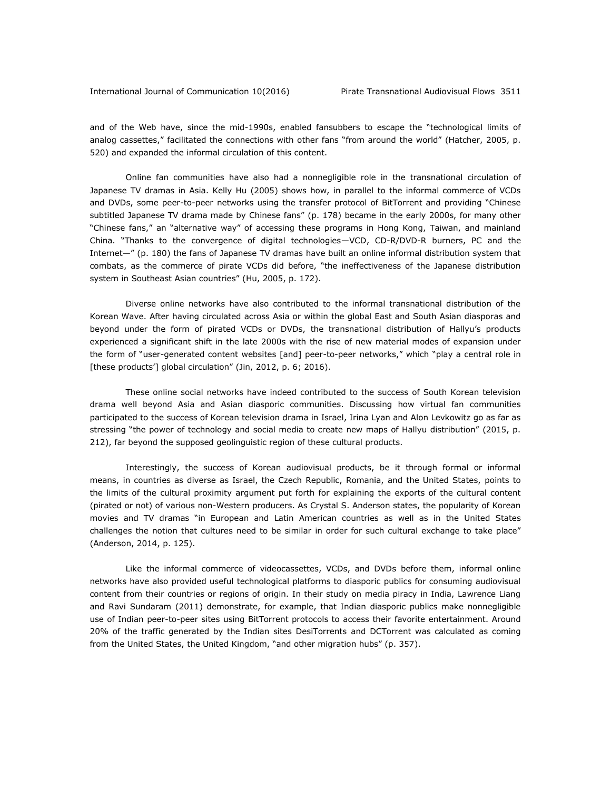and of the Web have, since the mid-1990s, enabled fansubbers to escape the "technological limits of analog cassettes," facilitated the connections with other fans "from around the world" (Hatcher, 2005, p. 520) and expanded the informal circulation of this content.

Online fan communities have also had a nonnegligible role in the transnational circulation of Japanese TV dramas in Asia. Kelly Hu (2005) shows how, in parallel to the informal commerce of VCDs and DVDs, some peer-to-peer networks using the transfer protocol of BitTorrent and providing "Chinese subtitled Japanese TV drama made by Chinese fans" (p. 178) became in the early 2000s, for many other "Chinese fans," an "alternative way" of accessing these programs in Hong Kong, Taiwan, and mainland China. "Thanks to the convergence of digital technologies—VCD, CD-R/DVD-R burners, PC and the Internet—" (p. 180) the fans of Japanese TV dramas have built an online informal distribution system that combats, as the commerce of pirate VCDs did before, "the ineffectiveness of the Japanese distribution system in Southeast Asian countries" (Hu, 2005, p. 172).

Diverse online networks have also contributed to the informal transnational distribution of the Korean Wave. After having circulated across Asia or within the global East and South Asian diasporas and beyond under the form of pirated VCDs or DVDs, the transnational distribution of Hallyu's products experienced a significant shift in the late 2000s with the rise of new material modes of expansion under the form of "user-generated content websites [and] peer-to-peer networks," which "play a central role in [these products'] global circulation" (Jin, 2012, p. 6; 2016).

These online social networks have indeed contributed to the success of South Korean television drama well beyond Asia and Asian diasporic communities. Discussing how virtual fan communities participated to the success of Korean television drama in Israel, Irina Lyan and Alon Levkowitz go as far as stressing "the power of technology and social media to create new maps of Hallyu distribution" (2015, p. 212), far beyond the supposed geolinguistic region of these cultural products.

Interestingly, the success of Korean audiovisual products, be it through formal or informal means, in countries as diverse as Israel, the Czech Republic, Romania, and the United States, points to the limits of the cultural proximity argument put forth for explaining the exports of the cultural content (pirated or not) of various non-Western producers. As Crystal S. Anderson states, the popularity of Korean movies and TV dramas "in European and Latin American countries as well as in the United States challenges the notion that cultures need to be similar in order for such cultural exchange to take place" (Anderson, 2014, p. 125).

Like the informal commerce of videocassettes, VCDs, and DVDs before them, informal online networks have also provided useful technological platforms to diasporic publics for consuming audiovisual content from their countries or regions of origin. In their study on media piracy in India, Lawrence Liang and Ravi Sundaram (2011) demonstrate, for example, that Indian diasporic publics make nonnegligible use of Indian peer-to-peer sites using BitTorrent protocols to access their favorite entertainment. Around 20% of the traffic generated by the Indian sites DesiTorrents and DCTorrent was calculated as coming from the United States, the United Kingdom, "and other migration hubs" (p. 357).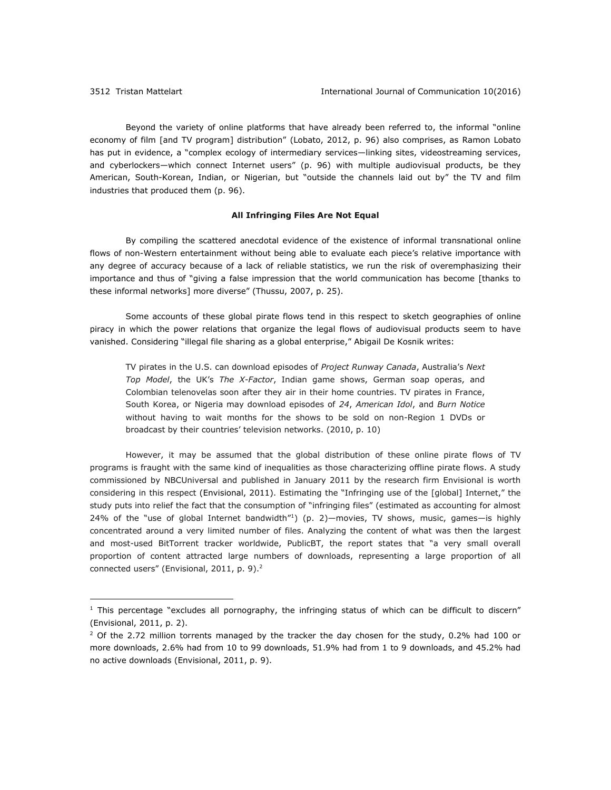$\overline{a}$ 

Beyond the variety of online platforms that have already been referred to, the informal "online economy of film [and TV program] distribution" (Lobato, 2012, p. 96) also comprises, as Ramon Lobato has put in evidence, a "complex ecology of intermediary services—linking sites, videostreaming services, and cyberlockers—which connect Internet users" (p. 96) with multiple audiovisual products, be they American, South-Korean, Indian, or Nigerian, but "outside the channels laid out by" the TV and film industries that produced them (p. 96).

### **All Infringing Files Are Not Equal**

By compiling the scattered anecdotal evidence of the existence of informal transnational online flows of non-Western entertainment without being able to evaluate each piece's relative importance with any degree of accuracy because of a lack of reliable statistics, we run the risk of overemphasizing their importance and thus of "giving a false impression that the world communication has become [thanks to these informal networks] more diverse" (Thussu, 2007, p. 25).

Some accounts of these global pirate flows tend in this respect to sketch geographies of online piracy in which the power relations that organize the legal flows of audiovisual products seem to have vanished. Considering "illegal file sharing as a global enterprise," Abigail De Kosnik writes:

TV pirates in the U.S. can download episodes of *Project Runway Canada*, Australia's *Next Top Model*, the UK's *The X-Factor*, Indian game shows, German soap operas, and Colombian telenovelas soon after they air in their home countries. TV pirates in France, South Korea, or Nigeria may download episodes of *24*, *American Idol*, and *Burn Notice* without having to wait months for the shows to be sold on non-Region 1 DVDs or broadcast by their countries' television networks. (2010, p. 10)

However, it may be assumed that the global distribution of these online pirate flows of TV programs is fraught with the same kind of inequalities as those characterizing offline pirate flows. A study commissioned by NBCUniversal and published in January 2011 by the research firm Envisional is worth considering in this respect (Envisional, 2011). Estimating the "Infringing use of the [global] Internet," the study puts into relief the fact that the consumption of "infringing files" (estimated as accounting for almost 24% of the "use of global Internet bandwidth"1) (p. 2)—movies, TV shows, music, games—is highly concentrated around a very limited number of files. Analyzing the content of what was then the largest and most-used BitTorrent tracker worldwide, PublicBT, the report states that "a very small overall proportion of content attracted large numbers of downloads, representing a large proportion of all connected users" (Envisional, 2011, p. 9).<sup>2</sup>

 $1$  This percentage "excludes all pornography, the infringing status of which can be difficult to discern" (Envisional, 2011, p. 2).

 $2$  Of the 2.72 million torrents managed by the tracker the day chosen for the study, 0.2% had 100 or more downloads, 2.6% had from 10 to 99 downloads, 51.9% had from 1 to 9 downloads, and 45.2% had no active downloads (Envisional, 2011, p. 9).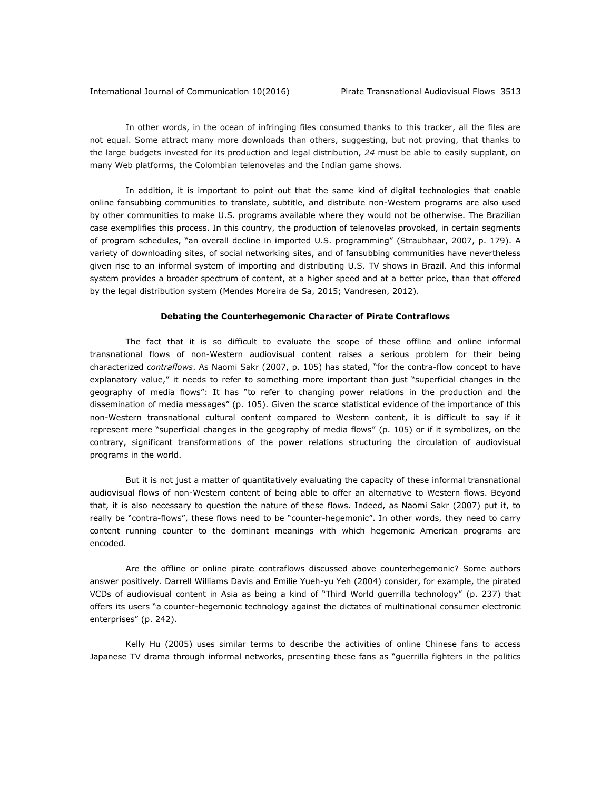## International Journal of Communication 10(2016) Pirate Transnational Audiovisual Flows 3513

In other words, in the ocean of infringing files consumed thanks to this tracker, all the files are not equal. Some attract many more downloads than others, suggesting, but not proving, that thanks to the large budgets invested for its production and legal distribution, *24* must be able to easily supplant, on many Web platforms, the Colombian telenovelas and the Indian game shows.

In addition, it is important to point out that the same kind of digital technologies that enable online fansubbing communities to translate, subtitle, and distribute non-Western programs are also used by other communities to make U.S. programs available where they would not be otherwise. The Brazilian case exemplifies this process. In this country, the production of telenovelas provoked, in certain segments of program schedules, "an overall decline in imported U.S. programming" (Straubhaar, 2007, p. 179). A variety of downloading sites, of social networking sites, and of fansubbing communities have nevertheless given rise to an informal system of importing and distributing U.S. TV shows in Brazil. And this informal system provides a broader spectrum of content, at a higher speed and at a better price, than that offered by the legal distribution system (Mendes Moreira de Sa, 2015; Vandresen, 2012).

### **Debating the Counterhegemonic Character of Pirate Contraflows**

The fact that it is so difficult to evaluate the scope of these offline and online informal transnational flows of non-Western audiovisual content raises a serious problem for their being characterized *contraflows*. As Naomi Sakr (2007, p. 105) has stated, "for the contra-flow concept to have explanatory value," it needs to refer to something more important than just "superficial changes in the geography of media flows": It has "to refer to changing power relations in the production and the dissemination of media messages" (p. 105). Given the scarce statistical evidence of the importance of this non-Western transnational cultural content compared to Western content, it is difficult to say if it represent mere "superficial changes in the geography of media flows" (p. 105) or if it symbolizes, on the contrary, significant transformations of the power relations structuring the circulation of audiovisual programs in the world.

But it is not just a matter of quantitatively evaluating the capacity of these informal transnational audiovisual flows of non-Western content of being able to offer an alternative to Western flows. Beyond that, it is also necessary to question the nature of these flows. Indeed, as Naomi Sakr (2007) put it, to really be "contra-flows", these flows need to be "counter-hegemonic". In other words, they need to carry content running counter to the dominant meanings with which hegemonic American programs are encoded.

Are the offline or online pirate contraflows discussed above counterhegemonic? Some authors answer positively. Darrell Williams Davis and Emilie Yueh-yu Yeh (2004) consider, for example, the pirated VCDs of audiovisual content in Asia as being a kind of "Third World guerrilla technology" (p. 237) that offers its users "a counter-hegemonic technology against the dictates of multinational consumer electronic enterprises" (p. 242).

Kelly Hu (2005) uses similar terms to describe the activities of online Chinese fans to access Japanese TV drama through informal networks, presenting these fans as "guerrilla fighters in the politics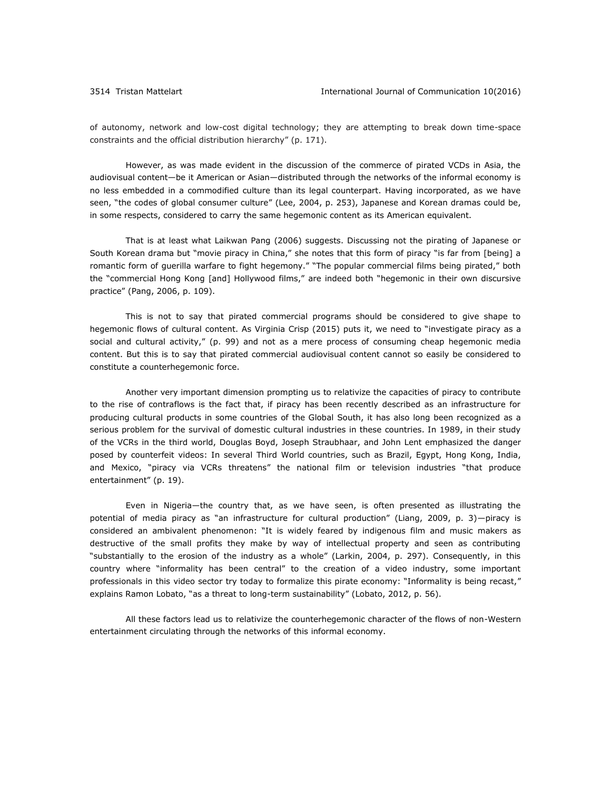of autonomy, network and low-cost digital technology; they are attempting to break down time-space constraints and the official distribution hierarchy" (p. 171).

However, as was made evident in the discussion of the commerce of pirated VCDs in Asia, the audiovisual content—be it American or Asian—distributed through the networks of the informal economy is no less embedded in a commodified culture than its legal counterpart. Having incorporated, as we have seen, "the codes of global consumer culture" (Lee, 2004, p. 253), Japanese and Korean dramas could be, in some respects, considered to carry the same hegemonic content as its American equivalent.

That is at least what Laikwan Pang (2006) suggests. Discussing not the pirating of Japanese or South Korean drama but "movie piracy in China," she notes that this form of piracy "is far from [being] a romantic form of guerilla warfare to fight hegemony." "The popular commercial films being pirated," both the "commercial Hong Kong [and] Hollywood films," are indeed both "hegemonic in their own discursive practice" (Pang, 2006, p. 109).

This is not to say that pirated commercial programs should be considered to give shape to hegemonic flows of cultural content. As Virginia Crisp (2015) puts it, we need to "investigate piracy as a social and cultural activity," (p. 99) and not as a mere process of consuming cheap hegemonic media content. But this is to say that pirated commercial audiovisual content cannot so easily be considered to constitute a counterhegemonic force.

Another very important dimension prompting us to relativize the capacities of piracy to contribute to the rise of contraflows is the fact that, if piracy has been recently described as an infrastructure for producing cultural products in some countries of the Global South, it has also long been recognized as a serious problem for the survival of domestic cultural industries in these countries. In 1989, in their study of the VCRs in the third world, Douglas Boyd, Joseph Straubhaar, and John Lent emphasized the danger posed by counterfeit videos: In several Third World countries, such as Brazil, Egypt, Hong Kong, India, and Mexico, "piracy via VCRs threatens" the national film or television industries "that produce entertainment" (p. 19).

Even in Nigeria—the country that, as we have seen, is often presented as illustrating the potential of media piracy as "an infrastructure for cultural production" (Liang, 2009, p. 3)—piracy is considered an ambivalent phenomenon: "It is widely feared by indigenous film and music makers as destructive of the small profits they make by way of intellectual property and seen as contributing "substantially to the erosion of the industry as a whole" (Larkin, 2004, p. 297). Consequently, in this country where "informality has been central" to the creation of a video industry, some important professionals in this video sector try today to formalize this pirate economy: "Informality is being recast," explains Ramon Lobato, "as a threat to long-term sustainability" (Lobato, 2012, p. 56).

All these factors lead us to relativize the counterhegemonic character of the flows of non-Western entertainment circulating through the networks of this informal economy.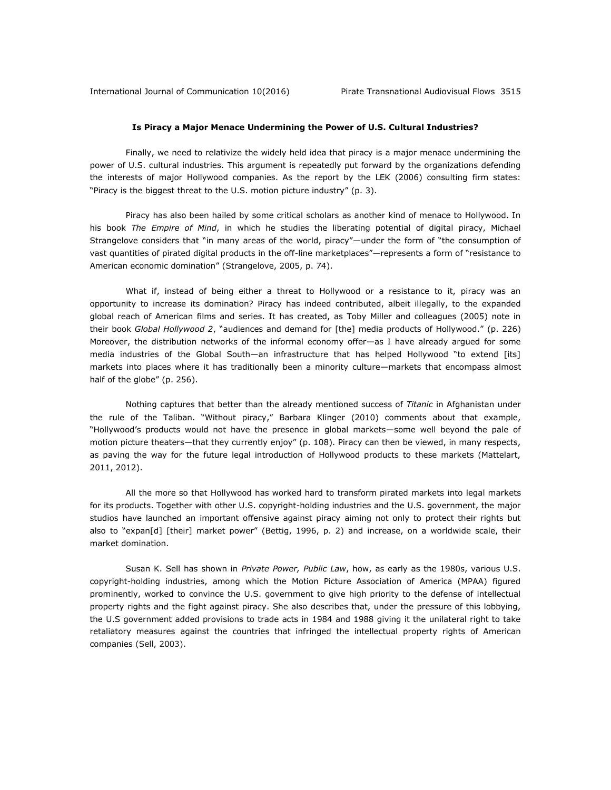# **Is Piracy a Major Menace Undermining the Power of U.S. Cultural Industries?**

Finally, we need to relativize the widely held idea that piracy is a major menace undermining the power of U.S. cultural industries. This argument is repeatedly put forward by the organizations defending the interests of major Hollywood companies. As the report by the LEK (2006) consulting firm states: "Piracy is the biggest threat to the U.S. motion picture industry" (p. 3).

Piracy has also been hailed by some critical scholars as another kind of menace to Hollywood. In his book *The Empire of Mind*, in which he studies the liberating potential of digital piracy, Michael Strangelove considers that "in many areas of the world, piracy"—under the form of "the consumption of vast quantities of pirated digital products in the off-line marketplaces"—represents a form of "resistance to American economic domination" (Strangelove, 2005, p. 74).

What if, instead of being either a threat to Hollywood or a resistance to it, piracy was an opportunity to increase its domination? Piracy has indeed contributed, albeit illegally, to the expanded global reach of American films and series. It has created, as Toby Miller and colleagues (2005) note in their book *Global Hollywood 2*, "audiences and demand for [the] media products of Hollywood." (p. 226) Moreover, the distribution networks of the informal economy offer—as I have already argued for some media industries of the Global South—an infrastructure that has helped Hollywood "to extend [its] markets into places where it has traditionally been a minority culture—markets that encompass almost half of the globe" (p. 256).

Nothing captures that better than the already mentioned success of *Titanic* in Afghanistan under the rule of the Taliban. "Without piracy," Barbara Klinger (2010) comments about that example, "Hollywood's products would not have the presence in global markets—some well beyond the pale of motion picture theaters—that they currently enjoy" (p. 108). Piracy can then be viewed, in many respects, as paving the way for the future legal introduction of Hollywood products to these markets (Mattelart, 2011, 2012).

All the more so that Hollywood has worked hard to transform pirated markets into legal markets for its products. Together with other U.S. copyright-holding industries and the U.S. government, the major studios have launched an important offensive against piracy aiming not only to protect their rights but also to "expan[d] [their] market power" (Bettig, 1996, p. 2) and increase, on a worldwide scale, their market domination.

Susan K. Sell has shown in *Private Power, Public Law*, how, as early as the 1980s, various U.S. copyright-holding industries, among which the Motion Picture Association of America (MPAA) figured prominently, worked to convince the U.S. government to give high priority to the defense of intellectual property rights and the fight against piracy. She also describes that, under the pressure of this lobbying, the U.S government added provisions to trade acts in 1984 and 1988 giving it the unilateral right to take retaliatory measures against the countries that infringed the intellectual property rights of American companies (Sell, 2003).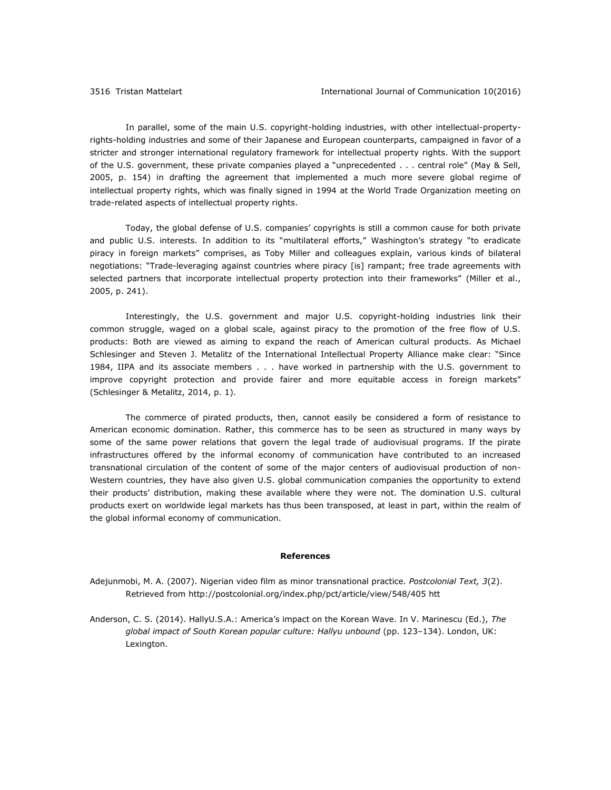In parallel, some of the main U.S. copyright-holding industries, with other intellectual-propertyrights-holding industries and some of their Japanese and European counterparts, campaigned in favor of a stricter and stronger international regulatory framework for intellectual property rights. With the support of the U.S. government, these private companies played a "unprecedented . . . central role" (May & Sell, 2005, p. 154) in drafting the agreement that implemented a much more severe global regime of intellectual property rights, which was finally signed in 1994 at the World Trade Organization meeting on trade-related aspects of intellectual property rights.

Today, the global defense of U.S. companies' copyrights is still a common cause for both private and public U.S. interests. In addition to its "multilateral efforts," Washington's strategy "to eradicate piracy in foreign markets" comprises, as Toby Miller and colleagues explain, various kinds of bilateral negotiations: "Trade-leveraging against countries where piracy [is] rampant; free trade agreements with selected partners that incorporate intellectual property protection into their frameworks" (Miller et al., 2005, p. 241).

Interestingly, the U.S. government and major U.S. copyright-holding industries link their common struggle, waged on a global scale, against piracy to the promotion of the free flow of U.S. products: Both are viewed as aiming to expand the reach of American cultural products. As Michael Schlesinger and Steven J. Metalitz of the International Intellectual Property Alliance make clear: "Since 1984, IIPA and its associate members . . . have worked in partnership with the U.S. government to improve copyright protection and provide fairer and more equitable access in foreign markets" (Schlesinger & Metalitz, 2014, p. 1).

The commerce of pirated products, then, cannot easily be considered a form of resistance to American economic domination. Rather, this commerce has to be seen as structured in many ways by some of the same power relations that govern the legal trade of audiovisual programs. If the pirate infrastructures offered by the informal economy of communication have contributed to an increased transnational circulation of the content of some of the major centers of audiovisual production of non-Western countries, they have also given U.S. global communication companies the opportunity to extend their products' distribution, making these available where they were not. The domination U.S. cultural products exert on worldwide legal markets has thus been transposed, at least in part, within the realm of the global informal economy of communication.

#### **References**

Adejunmobi, M. A. (2007). Nigerian video film as minor transnational practice. *Postcolonial Text, 3*(2). Retrieved from<http://postcolonial.org/index.php/pct/article/view/548/405> htt

Anderson, C. S. (2014). HallyU.S.A.: America's impact on the Korean Wave. In V. Marinescu (Ed.), *The global impact of South Korean popular culture: Hallyu unbound* (pp. 123–134). London, UK: Lexington.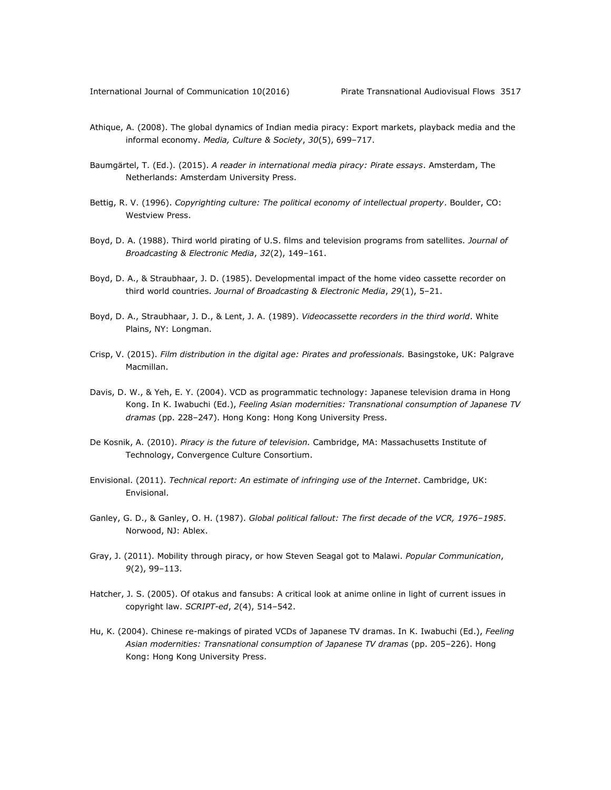- Athique, A. (2008). The global dynamics of Indian media piracy: Export markets, playback media and the informal economy. *Media, Culture & Society*, *30*(5), 699–717.
- Baumgärtel, T. (Ed.). (2015). *A reader in international media piracy: Pirate essays*. Amsterdam, The Netherlands: Amsterdam University Press.
- Bettig, R. V. (1996). *Copyrighting culture: The political economy of intellectual property*. Boulder, CO: Westview Press.
- Boyd, D. A. (1988). Third world pirating of U.S. films and television programs from satellites. *Journal of Broadcasting & Electronic Media*, *32*(2), 149–161.
- Boyd, D. A., & Straubhaar, J. D. (1985). Developmental impact of the home video cassette recorder on third world countries. *Journal of Broadcasting & Electronic Media*, *29*(1), 5–21.
- Boyd, D. A., Straubhaar, J. D., & Lent, J. A. (1989). *Videocassette recorders in the third world*. White Plains, NY: Longman.
- Crisp, V. (2015). *Film distribution in the digital age: Pirates and professionals.* Basingstoke, UK: Palgrave Macmillan.
- Davis, D. W., & Yeh, E. Y. (2004). VCD as programmatic technology: Japanese television drama in Hong Kong. In K. Iwabuchi (Ed.), *Feeling Asian modernities: Transnational consumption of Japanese TV dramas* (pp. 228–247). Hong Kong: Hong Kong University Press.
- De Kosnik, A. (2010). *Piracy is the future of television.* Cambridge, MA: Massachusetts Institute of Technology, Convergence Culture Consortium.
- Envisional. (2011). *Technical report: An estimate of infringing use of the Internet*. Cambridge, UK: Envisional.
- Ganley, G. D., & Ganley, O. H. (1987). *Global political fallout: The first decade of the VCR, 1976–1985*. Norwood, NJ: Ablex.
- Gray, J. (2011). Mobility through piracy, or how Steven Seagal got to Malawi. *Popular Communication*, *9*(2), 99–113.
- Hatcher, J. S. (2005). Of otakus and fansubs: A critical look at anime online in light of current issues in copyright law. *SCRIPT-ed*, *2*(4), 514–542.
- Hu, K. (2004). Chinese re-makings of pirated VCDs of Japanese TV dramas. In K. Iwabuchi (Ed.), *Feeling Asian modernities: Transnational consumption of Japanese TV dramas* (pp. 205–226). Hong Kong: Hong Kong University Press.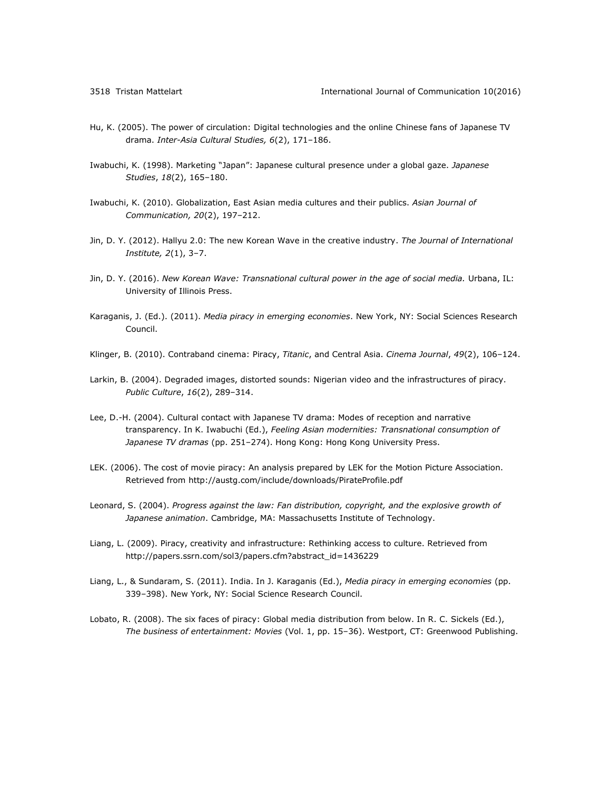- Hu, K. (2005). The power of circulation: Digital technologies and the online Chinese fans of Japanese TV drama. *Inter-Asia Cultural Studies, 6*(2), 171–186.
- Iwabuchi, K. (1998). Marketing "Japan": Japanese cultural presence under a global gaze. *Japanese Studies*, *18*(2), 165–180.
- Iwabuchi, K. (2010). Globalization, East Asian media cultures and their publics. *Asian Journal of Communication, 20*(2), 197–212.
- Jin, D. Y. (2012). Hallyu 2.0: The new Korean Wave in the creative industry. *The Journal of International Institute, 2*(1), 3–7.
- Jin, D. Y. (2016). *New Korean Wave: Transnational cultural power in the age of social media.* Urbana, IL: University of Illinois Press.
- Karaganis, J. (Ed.). (2011). *Media piracy in emerging economies*. New York, NY: Social Sciences Research Council.
- Klinger, B. (2010). Contraband cinema: Piracy, *Titanic*, and Central Asia. *Cinema Journal*, *49*(2), 106–124.
- Larkin, B. (2004). Degraded images, distorted sounds: Nigerian video and the infrastructures of piracy. *Public Culture*, *16*(2), 289–314.
- Lee, D.-H. (2004). Cultural contact with Japanese TV drama: Modes of reception and narrative transparency. In K. Iwabuchi (Ed.), *Feeling Asian modernities: Transnational consumption of Japanese TV dramas* (pp. 251–274). Hong Kong: Hong Kong University Press.
- LEK. (2006). The cost of movie piracy: An analysis prepared by LEK for the Motion Picture Association. Retrieved from<http://austg.com/include/downloads/PirateProfile.pdf>
- Leonard, S. (2004). *Progress against the law: Fan distribution, copyright, and the explosive growth of Japanese animation*. Cambridge, MA: Massachusetts Institute of Technology.
- Liang, L. (2009). Piracy, creativity and infrastructure: Rethinking access to culture. Retrieved from [http://papers.ssrn.com/sol3/papers.cfm?abstract\\_id=1436229](http://papers.ssrn.com/sol3/papers.cfm?abstract_id=1436229)
- Liang, L., & Sundaram, S. (2011). India. In J. Karaganis (Ed.), *Media piracy in emerging economies* (pp. 339–398). New York, NY: Social Science Research Council.
- Lobato, R. (2008). The six faces of piracy: Global media distribution from below. In R. C. Sickels (Ed.), *The business of entertainment: Movies* (Vol. 1, pp. 15–36). Westport, CT: Greenwood Publishing.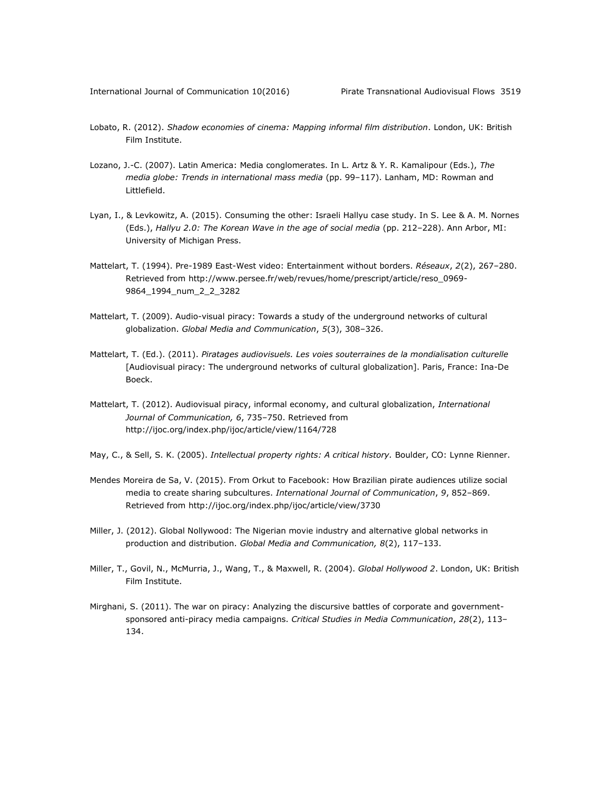- Lobato, R. (2012). *Shadow economies of cinema: Mapping informal film distribution*. London, UK: British Film Institute.
- Lozano, J.-C. (2007). Latin America: Media conglomerates. In L. Artz & Y. R. Kamalipour (Eds.), *The media globe: Trends in international mass media* (pp. 99–117). Lanham, MD: Rowman and Littlefield.
- Lyan, I., & Levkowitz, A. (2015). Consuming the other: Israeli Hallyu case study. In S. Lee & A. M. Nornes (Eds.), *Hallyu 2.0: The Korean Wave in the age of social media* (pp. 212–228). Ann Arbor, MI: University of Michigan Press.
- Mattelart, T. (1994). Pre-1989 East-West video: Entertainment without borders. *Réseaux*, *2*(2), 267–280. Retrieved from [http://www.persee.fr/web/revues/home/prescript/article/reso\\_0969-](http://www.persee.fr/web/revues/home/prescript/article/reso_0969-9864_1994_num_2_2_3282) [9864\\_1994\\_num\\_2\\_2\\_3282](http://www.persee.fr/web/revues/home/prescript/article/reso_0969-9864_1994_num_2_2_3282)
- Mattelart, T. (2009). Audio-visual piracy: Towards a study of the underground networks of cultural globalization. *Global Media and Communication*, *5*(3), 308–326.
- Mattelart, T. (Ed.). (2011). *Piratages audiovisuels. Les voies souterraines de la mondialisation culturelle*  [Audiovisual piracy: The underground networks of cultural globalization]. Paris, France: Ina-De Boeck.
- Mattelart, T. (2012). Audiovisual piracy, informal economy, and cultural globalization, *International Journal of Communication, 6*, 735–750. Retrieved from <http://ijoc.org/index.php/ijoc/article/view/1164/728>
- May, C., & Sell, S. K. (2005). *Intellectual property rights: A critical history.* Boulder, CO: Lynne Rienner.
- Mendes Moreira de Sa, V. (2015). From Orkut to Facebook: How Brazilian pirate audiences utilize social media to create sharing subcultures. *International Journal of Communication*, *9*, 852–869. Retrieved from<http://ijoc.org/index.php/ijoc/article/view/3730>
- Miller, J. (2012). Global Nollywood: The Nigerian movie industry and alternative global networks in production and distribution. *Global Media and Communication, 8*(2), 117–133.
- Miller, T., Govil, N., McMurria, J., Wang, T., & Maxwell, R. (2004). *Global Hollywood 2*. London, UK: British Film Institute.
- Mirghani, S. (2011). The war on piracy: Analyzing the discursive battles of corporate and governmentsponsored anti-piracy media campaigns. *Critical Studies in Media Communication*, *28*(2), 113– 134.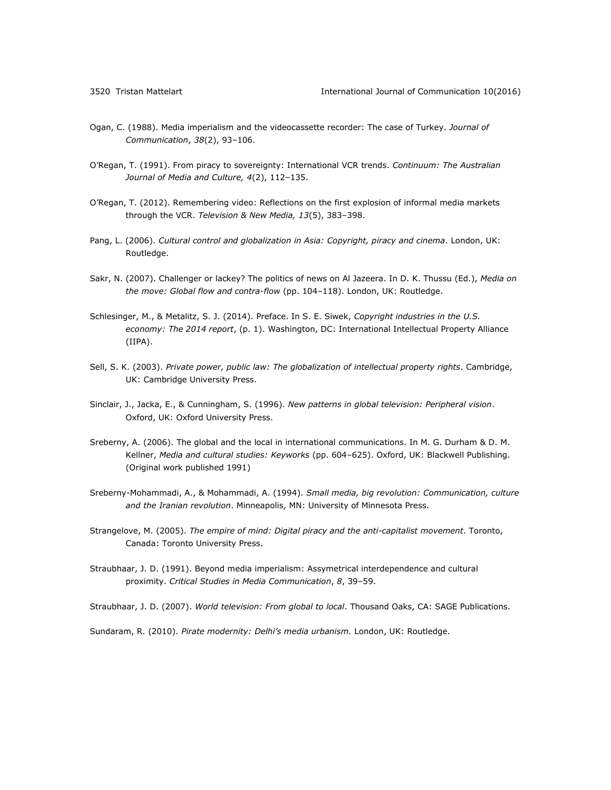- Ogan, C. (1988). Media imperialism and the videocassette recorder: The case of Turkey. *Journal of Communication*, *38*(2), 93–106.
- O'Regan, T. (1991). From piracy to sovereignty: International VCR trends. *Continuum: The Australian Journal of Media and Culture, 4*(2), 112–135.
- O'Regan, T. (2012). Remembering video: Reflections on the first explosion of informal media markets through the VCR. *Television & New Media, 13*(5), 383–398.
- Pang, L. (2006). *Cultural control and globalization in Asia: Copyright, piracy and cinema*. London, UK: Routledge.
- Sakr, N. (2007). Challenger or lackey? The politics of news on Al Jazeera. In D. K. Thussu (Ed.), *Media on the move: Global flow and contra-flow* (pp. 104–118). London, UK: Routledge.
- Schlesinger, M., & Metalitz, S. J. (2014). Preface. In S. E. Siwek, *Copyright industries in the U.S. economy: The 2014 report*, (p. 1). Washington, DC: International Intellectual Property Alliance (IIPA).
- Sell, S. K. (2003). *Private power, public law: The globalization of intellectual property rights*. Cambridge, UK: Cambridge University Press.
- Sinclair, J., Jacka, E., & Cunningham, S. (1996). *New patterns in global television: Peripheral vision*. Oxford, UK: Oxford University Press.
- Sreberny, A. (2006). The global and the local in international communications. In M. G. Durham & D. M. Kellner, *Media and cultural studies: Keyworks* (pp. 604–625). Oxford, UK: Blackwell Publishing. (Original work published 1991)
- Sreberny-Mohammadi, A., & Mohammadi, A. (1994). *Small media, big revolution: Communication, culture and the Iranian revolution*. Minneapolis, MN: University of Minnesota Press.
- Strangelove, M. (2005). *The empire of mind: Digital piracy and the anti-capitalist movement*. Toronto, Canada: Toronto University Press.
- Straubhaar, J. D. (1991). Beyond media imperialism: Assymetrical interdependence and cultural proximity. *Critical Studies in Media Communication*, *8*, 39–59.

Straubhaar, J. D. (2007). *World television: From global to local*. Thousand Oaks, CA: SAGE Publications.

Sundaram, R. (2010). *Pirate modernity: Delhi's media urbanism.* London, UK: Routledge.